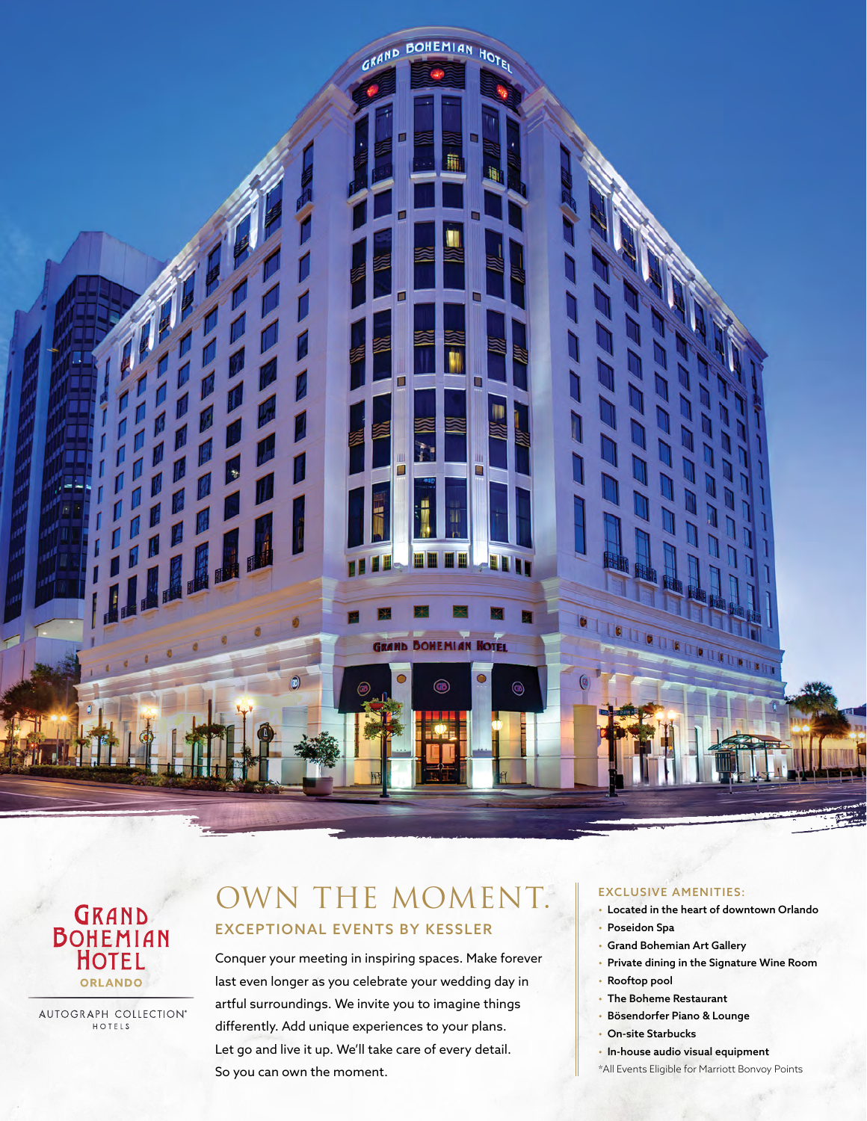



AUTOGRAPH COLLECTION® HOTELS

## OWN THE MOMENT. EXCEPTIONAL EVENTS BY KESSLER

Conquer your meeting in inspiring spaces. Make forever last even longer as you celebrate your wedding day in artful surroundings. We invite you to imagine things differently. Add unique experiences to your plans. Let go and live it up. We'll take care of every detail. So you can own the moment.

## EXCLUSIVE AMENITIES:

- Located in the heart of downtown Orlando
- Poseidon Spa
- Grand Bohemian Art Gallery
- Private dining in the Signature Wine Room
- Rooftop pool
- The Boheme Restaurant
- Bösendorfer Piano & Lounge
- On-site Starbucks
- In-house audio visual equipment
- \*All Events Eligible for Marriott Bonvoy Points